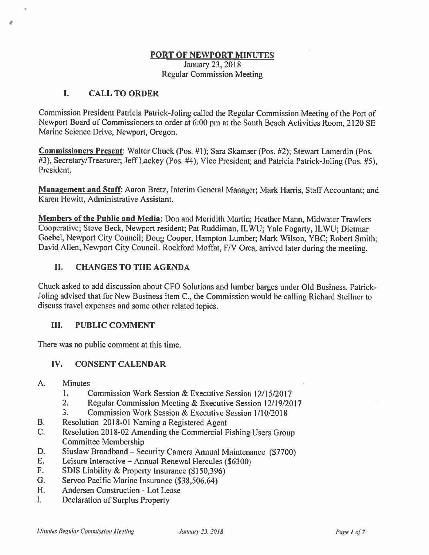#### **PORT OF NEWPORT MINUTES**

January 23, 2018 Regular Commission Meeting

## I. **CALL TO ORDER**

Commission President Patricia Patrick-Joling called the Regular Commission Meeting of the Port of Newport Board of Commissioners to order at 6:00 pm at the South Beach Activities Room, 2120 SE Marine Science Drive, Newport, Oregon.

**Commissioners Present:** Walter Chuck (Pos. #I); Sara Skamser (Pos. #2); Stewart Lamerdin (Pos. #3), Secretary/Treasurer; Jeff Lackey (Pos. #4), Vice President; and Patricia Patrick-Joling (Pos. #5), President.

**Management and Staff:** Aaron Bretz, Interim General Manager; Mark Harris, Staff Accountant; and Karen Hewitt, Administrative Assistant.

**Members of the Public and Media:** Don and Meridith Martin; Heather Mann, Midwater Trawlers Cooperative; Steve Beck, Newport resident; Pat Ruddiman, ILWU; Yale Fogarty, ILWU; Dietmar Goebel, Newport City Council; Doug Cooper, Hampton Lumber; Mark Wilson, YBC; Robert Smith; David Allen, Newport City Council. Rockford Moffat, F/V Orca, arrived later during the meeting.

# II. **CHANGES TO THE AGENDA**

Chuck asked to add discussion about CFO Solutions and lumber barges under Old Business. Patrick-Joling advised that for New Business item C., the Commission would be calling Richard Stellner to discuss travel expenses and some other related topics.

## III. **PUBLIC COMMENT**

There was no public comment at this time.

## **IV. CONSENT CALENDAR**

- A. Minutes
	- 1. Commission Work Session & Executive Session 12/15/2017
	- 2. Regular Commission Meeting & Executive Session 12/19/2017
	- 3. Commission Work Session & Executive Session l/l0/2018
- B. Resolution 2018-01 Naming a Registered Agent
- C. Resolution 2018-02 Amending the Commercial Fishing Users Group Committee Membership
- D. Siuslaw Broadband Security Camera Annual Maintenance (\$7700)
- E. Leisure Interactive -Annual Renewal Hercules (\$6300)
- F. SDIS Liability & Property Insurance (\$150,396)
- G. Servco Pacific Marine Insurance (\$38,506.64)
- H. Andersen Construction Lot Lease
- I. Declaration of Surplus Property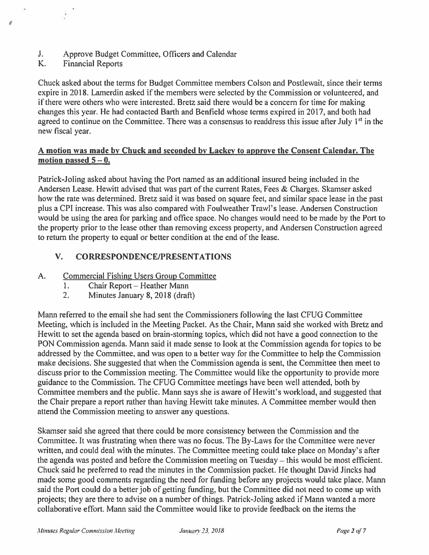- J. Approve Budget Committee, Officers and Calendar<br>K. Financial Reports
- **Financial Reports**

 $^{\prime}$ 

Chuck asked about the terms for Budget Committee members Colson and Postlewait, since their terms expire in 2018. Lamerdin asked if the members were selected by the Commission or volunteered, and if there were others who were interested. Bretz said there would be a concern for time for making changes this year. He had contacted Barth and Benfield whose terms expired in 2017, and both had agreed to continue on the Committee. There was a consensus to readdress this issue after July  $1<sup>st</sup>$  in the new fiscal year.

#### **A motion was made by Chuck and seconded by Lackey to approve the Consent Calendar. The**  motion passed  $5 - 0$ .

Patrick-Joling asked about having the Port named as an additional insured being included in the Andersen Lease. Hewitt advised that was part of the current Rates, Fees & Charges. Skamser asked how the rate was determined. Bretz said it was based on square feet, and similar space lease in the past plus a CPI increase. This was also compared with Foulweather Trawl's lease. Andersen Construction would be using the area for parking and office space. No changes would need to be made by the Port to the property prior to the lease other than removing excess property, and Andersen Construction agreed to return the property to equal or better condition at the end of the lease.

# **V. CORRESPONDENCE/PRESENTATIONS**

- A. Commercial Fishing Users Group Committee
	- 1. Chair Report Heather Mann
	- 2. Minutes January 8, 2018 (draft)

Mann referred to the email she had sent the Commissioners following the last CFUG Committee Meeting, which is included in the Meeting Packet. As the Chair, Mann said she worked with Bretz and Hewitt to set the agenda based on brain-storming topics, which did not have a good connection to the PON Commission agenda. Mann said it made sense to look at the Commission agenda for topics to be addressed by the Committee, and was open to a better way for the Committee to help the Commission make decisions. She suggested that when the Commission agenda is sent, the Committee then meet to discuss prior to the Commission meeting. The Committee would like the opportunity to provide more guidance to the Commission. The CFUG Committee meetings have been well attended, both by Committee members and the public. Mann says she is aware of Hewitt's workload, and suggested that the Chair prepare a report rather than having Hewitt take minutes. A Committee member would then attend the Commission meeting to answer any questions.

Skamser said she agreed that there could be more consistency between the Commission and the Committee. It was frustrating when there was no focus. The By-Laws for the Committee were never written, and could deal with the minutes. The Committee meeting could take place on Monday's after the agenda was posted and before the Commission meeting on Tuesday – this would be most efficient. Chuck said he preferred to read the minutes in the Commission packet. He thought David Jincks had made some good comments regarding the need for funding before any projects would take place. Mann said the Port could do a better job of getting funding, but the Committee did not need to come up with projects; they are there to advise on a number of things. Patrick-Joling asked if Mann wanted a more collaborative effort. Mann said the Committee would like to provide feedback on the items the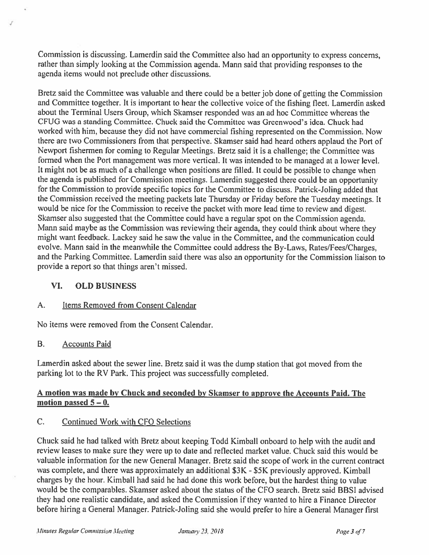Commission is discussing. Lamerdin said the Committee also had an opportunity to express concerns, rather than simply looking at the Commission agenda. Mann said that providing responses to the agenda items would not preclude other discussions.

Bretz said the Committee was valuable and there could be a better job done of getting the Commission and Committee together. It is important to hear the collective voice of the fishing fleet. Lamerdin asked about the Terminal Users Group, which Skamser responded was an ad hoc Committee whereas the CFUG was a standing Committee. Chuck said the Committee was Greenwood's idea. Chuck had worked with him, because they did not have commercial fishing represented on the Commission. Now there are two Commissioners from that perspective. Skamser said had heard others applaud the Port of Newport fishermen for coming to Regular Meetings. Bretz said it is a challenge; the Committee was formed when the Port management was more vertical. It was intended to be managed at a lower level. It might not be as much of a challenge when positions are filled. It could be possible to change when the agenda is published for Commission meetings. Lamerdin suggested there could be an opportunity for the Commission to provide specific topics for the Committee to discuss. Patrick-Joling added that the Commission received the meeting packets late Thursday or Friday before the Tuesday meetings. It would be nice for the Commission to receive the packet with more lead time to review and digest. Skamser also suggested that the Committee could have a regular spot on the Commission agenda. Mann said maybe as the Commission was reviewing their agenda, they could think about where they might want feedback. Lackey said he saw the value in the Committee, and the communication could evolve. Mann said in the meanwhile the Committee could address the By-Laws, Rates/Fees/Charges, and the Parking Committee. Lamerdin said there was also an opportunity for the Commission liaison to provide a report so that things aren't missed.

## **VI. OLD BUSINESS**

## A. Items Removed from Consent Calendar

No items were removed from the Consent Calendar.

#### B. Accounts Paid

Lamerdin asked about the sewer line. Bretz said it was the dump station that got moved from the parking lot to the RV Park. This project was successfully completed.

#### **A motion was made by Chuck and seconded by Skamser to approve the Accounts Paid. The**  motion passed  $5 - 0$ .

## C. Continued Work with CFO Selections

Chuck said he had talked with Bretz about keeping Todd Kimball onboard to help with the audit and review leases to make sure they were up to date and reflected market value. Chuck said this would be valuable information for the new General Manager. Bretz said the scope of work in the current contract was complete, and there was approximately an additional \$3K - \$5K previously approved. Kimball charges by the hour. Kimball had said he had done this work before, but the hardest thing to value would be the comparables. Skamser asked about the status of the CFO search. Bretz said BBSI advised they had one realistic candidate, and asked the Commission if they wanted to hire a Finance Director before hiring a General Manager. Patrick-Joling said she would prefer to hire a General Manager first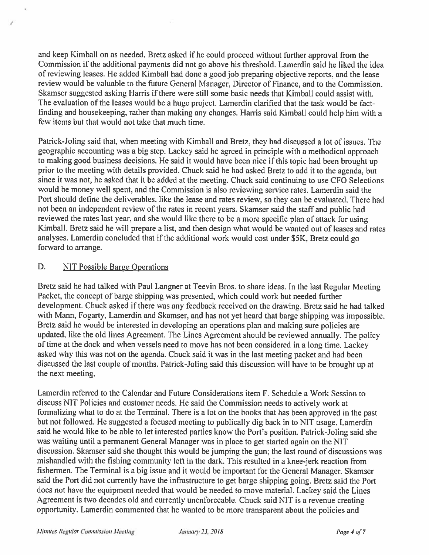and keep Kimball on as needed. Bretz asked if he could proceed without further approval from the Commission if the additional payments did not go above his threshold. Lamerdin said he liked the idea of reviewing leases. He added Kimball had done a good job preparing objective reports, and the lease review would be valuable to the future General Manager, Director of Finance, and to the Commission. Skamser suggested asking Harris if there were still some basic needs that Kimball could assist with. The evaluation of the leases would be a huge project. Lamerdin clarified that the task would be factfinding and housekeeping, rather than making any changes. Harris said Kimball could help him with a few items but that would not take that much time.

Patrick-Joling said that, when meeting with Kimball and Bretz, they had discussed a lot of issues. The geographic accounting was a big step. Lackey said he agreed in principle with a methodical approach to making good business decisions. He said it would have been nice if this topic had been brought up prior to the meeting with details provided. Chuck said he had asked Bretz to add it to the agenda, but since it was not, he asked that it be added at the meeting. Chuck said continuing to use CFO Selections would be money well spent, and the Commission is also reviewing service rates. Lamerdin said the Port should define the deliverables, like the lease and rates review, so they can be evaluated. There had not been an independent review of the rates in recent years. Skamser said the staff and public had reviewed the rates last year, and she would like there to be a more specific plan of attack for using Kimball. Bretz said he will prepare a list, and then design what would be wanted out of leases and rates analyses. Lamerdin concluded that if the additional work would cost under \$SK, Bretz could go forward to arrange.

## D. NIT Possible Barge Operations

Bretz said he had talked with Paul Langner at Teevin Bros. to share ideas. In the last Regular Meeting Packet, the concept of barge shipping was presented, which could work but needed further development. Chuck asked if there was any feedback received on the drawing. Bretz said he had talked with Mann, Fogarty, Lamerdin and Skamser, and has not yet heard that barge shipping was impossible. Bretz said he would be interested in developing an operations plan and making sure policies are updated, like the old lines Agreement. The Lines Agreement should be reviewed annually. The policy of time at the dock and when vessels need to move has not been considered in a long time. Lackey asked why this was not on the agenda. Chuck said it was in the last meeting packet and had been discussed the last couple of months. Patrick-Joling said this discussion will have to be brought up at the next meeting.

Lamerdin referred to the Calendar and Future Considerations item F. Schedule a Work Session to discuss NIT Policies and customer needs. He said the Commission needs to actively work at formalizing what to do at the Terminal. There is a lot on the books that has been approved in the past but not followed. He suggested a focused meeting to publically dig back in to NIT usage. Lamerdin said he would like to be able to let interested parties know the Port's position. Patrick-Joling said she was waiting until a permanent General Manager was in place to get started again on the NIT discussion. Skamser said she thought this would be jumping the gun; the last round of discussions was mishandled with the fishing community left in the dark. This resulted in a knee-jerk reaction from fishermen. The Terminal is a big issue and it would be important for the General Manager. Skamser said the Port did not currently have the infrastructure to get barge shipping going. Bretz said the Port does not have the equipment needed that would be needed to move material. Lackey said the Lines Agreement is two decades old and currently unenforceable. Chuck said NIT is a revenue creating opportunity. Lamerdin commented that he wanted to be more transparent about the policies and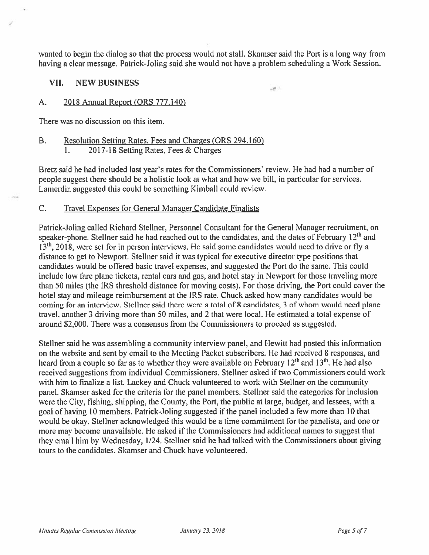wanted to begin the dialog so that the process would not stall. Skamser said the Port is a long way from having a clear message. Patrick-Joling said she would not have a problem scheduling a Work Session.

ant in

#### **VII. NEW BUSINESS**

#### A. 2018 Annual Report {ORS 777 .140}

There was no discussion on this item.

# B. Resolution Setting Rates. Fees and Charges (ORS 294.160)

1. 2017-18 Setting Rates, Fees & Charges

Bretz said he had included last year's rates for the Commissioners' review. He had had a number of people suggest there should be a holistic look at what and how we bill, in particular for services. Lamerdin suggested this could be something Kimball could review.

#### C. Travel Expenses for General Manager Candidate Finalists

Patrick-Joling called Richard Stellner, Personnel Consultant for the General Manager recruitment, on speaker-phone. Stellner said he had reached out to the candidates, and the dates of February 12<sup>th</sup> and 13<sup>th</sup>, 2018, were set for in person interviews. He said some candidates would need to drive or fly a distance to get to Newport. Stellner said it was typical for executive director type positions that candidates would be offered basic travel expenses, and suggested the Port do the same. This could include low fare plane tickets, rental cars and gas, and hotel stay in Newport for those traveling more than 50 miles (the IRS threshold distance for moving costs). For those driving, the Port could cover the hotel stay and mileage reimbursement at the IRS rate. Chuck asked how many candidates would be coming for an interview. Stellner said there were a total of 8 candidates, 3 of whom would need plane travel, another 3 driving more than 50 miles, and 2 that were local. He estimated a total expense of around \$2,000. There was a consensus from the Commissioners to proceed as suggested.

Stellner said he was assembling a community interview panel, and Hewitt had posted this information on the website and sent by email to the Meeting Packet subscribers. He had received 8 responses, and heard from a couple so far as to whether they were available on February  $12<sup>th</sup>$  and  $13<sup>th</sup>$ . He had also received suggestions from individual Commissioners. Stellner asked if two Commissioners could work with him to finalize a list. Lackey and Chuck volunteered to work with Stellner on the community panel. Skamser asked for the criteria for the panel members. Stellner said the categories for inclusion were the City, fishing, shipping, the County, the Port, the public at large, budget, and lessees, with a goal of having 10 members. Patrick-Joling suggested if the panel included a few more than 10 that would be okay. Stellner acknowledged this would be a time commitment for the panelists, and one or more may become unavailable. He asked if the Commissioners had additional names to suggest that they email him by Wednesday, 1/24. Stellner said he had talked with the Commissioners about giving tours to the candidates. Skamser and Chuck have volunteered.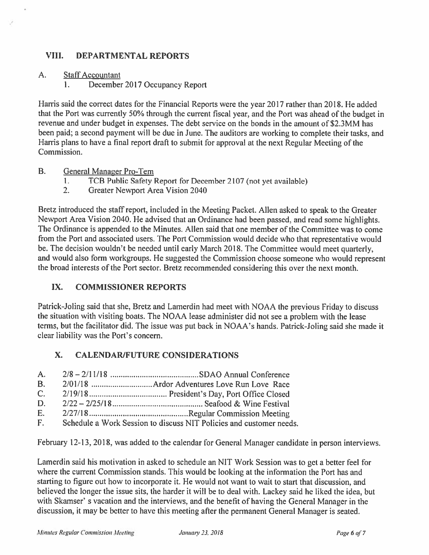## **VIII. DEPARTMENTAL REPORTS**

#### A. Staff Accountant

·'

1. December 2017 Occupancy Report

Harris said the correct dates for the Financial Reports were the year 2017 rather than 2018. He added that the Port was currently 50% through the current fiscal year, and the Port was ahead of the budget in revenue and under budget in expenses. The debt service on the bonds in the amount of \$2.3MM has been paid; a second payment will be due in June. The auditors are working to complete their tasks, and Harris plans to have a final report draft to submit for approval at the next Regular Meeting of the Commission.

- B. General Manager Pro-Tem
	- l. TCB Public Safety Report for December 2107 (not yet available)
	- 2. Greater Newport Area Vision 2040

Bretz introduced the staff report, included in the Meeting Packet. Allen asked to speak to the Greater Newport Area Vision 2040. He advised that an Ordinance had been passed, and read some highlights. The Ordinance is appended to the Minutes. Allen said that one member of the Committee was to come from the Port and associated users. The Port Commission would decide who that representative would be. The decision wouldn't be needed until early March 2018. The Committee would meet quarterly, and would also form workgroups. He suggested the Commission choose someone who would represent the broad interests of the Port sector. Bretz recommended considering this over the next month.

## **IX. COMMISSIONER REPORTS**

Patrick-Joling said that she, Bretz and Lamerdin had meet with NOAA the previous Friday to discuss the situation with visiting boats. The NOAA lease administer did not see a problem with the lease terms, but the facilitator did. The issue was put back in NOAA's hands. Patrick-Joling said she made it clear liability was the Port's concern.

# **X. CALENDAR/FUTURE CONSIDERATIONS**

- A. 2/8 2/11/18 .......................................... SDAO Annual Conference
- B. 2/0 l / 18 ............................. Ardor Adventures Love Run Love Race
- C. 2/19/ 18 ..................................... President's Day, Port Office Closed
- D. 2/22 2/25/18 ........................................... Seafood & Wine Festival
- E. 2/27/ 18 ............................................... Regular Commission Meeting
- F. Schedule a Work Session to discuss NIT Policies and customer needs.

February 12-13, 2018, was added to the calendar for General Manager candidate in person interviews.

Lamerdin said his motivation in asked to schedule an NIT Work Session was to get a better feel for where the current Commission stands. This would be looking at the information the Port has and starting to figure out how to incorporate it. He would not want to wait to start that discussion, and believed the longer the issue sits, the harder it will be to deal with. Lackey said he liked the idea, but with Skamser' s vacation and the interviews, and the benefit of having the General Manager in the discussion, it may be better to have this meeting after the permanent General Manager is seated.